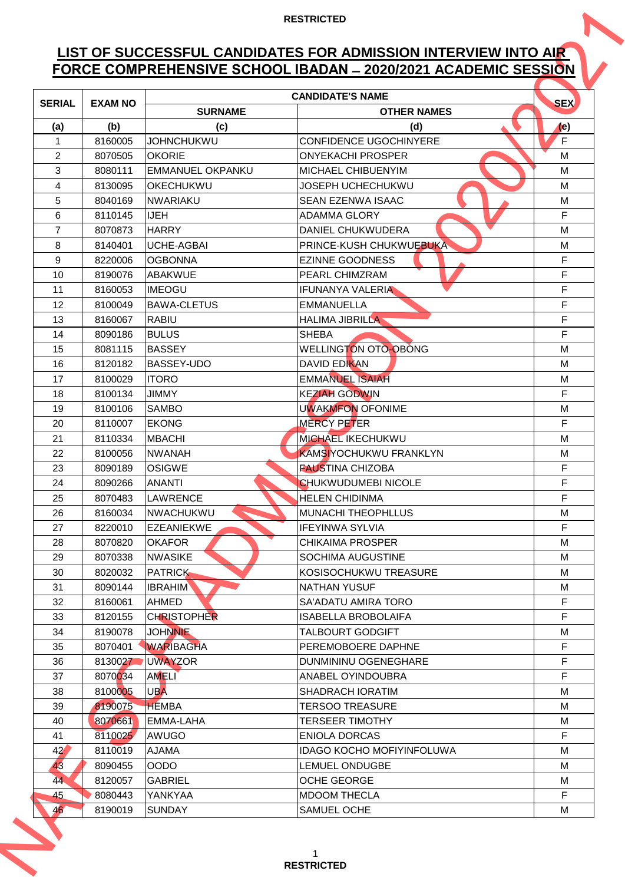# **LIST OF SUCCESSFUL CANDIDATES FOR ADMISSION INTERVIEW INTO AIR FORCE COMPREHENSIVE SCHOOL IBADAN ̶2020/2021 ACADEMIC SESSION**

|                 |                |                    | FORCE COMPREHENSIVE SCHOOL IBADAN - 2020/2021 ACADEMIC SESSION |             |
|-----------------|----------------|--------------------|----------------------------------------------------------------|-------------|
| <b>SERIAL</b>   | <b>EXAM NO</b> | <b>SURNAME</b>     | <b>CANDIDATE'S NAME</b><br><b>OTHER NAMES</b>                  | <b>SEX</b>  |
| (a)             | (b)            | (c)                | (d)                                                            | (e)         |
| 1               | 8160005        | <b>JOHNCHUKWU</b>  | <b>CONFIDENCE UGOCHINYERE</b>                                  | F           |
| $\overline{2}$  | 8070505        | <b>OKORIE</b>      | <b>ONYEKACHI PROSPER</b>                                       | M           |
| 3               | 8080111        | EMMANUEL OKPANKU   | MICHAEL CHIBUENYIM                                             | M           |
| 4               | 8130095        | OKECHUKWU          | <b>JOSEPH UCHECHUKWU</b>                                       | M           |
| 5               | 8040169        | <b>NWARIAKU</b>    | <b>SEAN EZENWA ISAAC</b>                                       | M           |
| 6               | 8110145        | <b>IJEH</b>        | <b>ADAMMA GLORY</b>                                            | F           |
| $\overline{7}$  | 8070873        | <b>HARRY</b>       | <b>DANIEL CHUKWUDERA</b>                                       | M           |
| 8               | 8140401        | UCHE-AGBAI         | <b>PRINCE-KUSH CHUKWUEBUKA</b>                                 | M           |
| 9               | 8220006        | <b>OGBONNA</b>     | <b>EZINNE GOODNESS</b>                                         | F           |
| 10              | 8190076        | <b>ABAKWUE</b>     | <b>PEARL CHIMZRAM</b>                                          | F           |
| 11              | 8160053        | <b>IMEOGU</b>      | <b>IFUNANYA VALERIA</b>                                        | F           |
| 12              | 8100049        | <b>BAWA-CLETUS</b> | <b>EMMANUELLA</b>                                              | F           |
| 13              | 8160067        | <b>RABIU</b>       | <b>HALIMA JIBRILLA</b>                                         | F           |
| 14              | 8090186        | <b>BULUS</b>       | <b>SHEBA</b>                                                   | F           |
| 15              | 8081115        | <b>BASSEY</b>      | <b>WELLINGTON OTO-OBONG</b>                                    | M           |
| 16              | 8120182        | <b>BASSEY-UDO</b>  | DAVID EDIKAN                                                   | M           |
| 17              | 8100029        | <b>ITORO</b>       | <b>EMMANUEL ISAIAH</b>                                         | M           |
| 18              | 8100134        | <b>JIMMY</b>       | <b>KEZIAH GODWIN</b>                                           | F           |
| 19              | 8100106        | <b>SAMBO</b>       | <b>UWAKMFON OFONIME</b>                                        | M           |
| 20              | 8110007        | <b>EKONG</b>       | <b>MERCY PETER</b>                                             | F           |
| 21              | 8110334        | <b>MBACHI</b>      | <b>MICHAEL IKECHUKWU</b>                                       | M           |
| 22              | 8100056        | <b>NWANAH</b>      | KAMSIYOCHUKWU FRANKLYN                                         | M           |
| 23              | 8090189        | <b>OSIGWE</b>      | <b>FAUSTINA CHIZOBA</b>                                        | F           |
| 24              | 8090266        | <b>ANANTI</b>      | CHUKWUDUMEBI NICOLE                                            | $\mathsf F$ |
| 25              | 8070483        | <b>LAWRENCE</b>    | <b>HELEN CHIDINMA</b>                                          | F           |
| 26              | 8160034        | NWACHUKWU          | <b>MUNACHI THEOPHLLUS</b>                                      | М           |
| 27              | 8220010        | <b>EZEANIEKWE</b>  | <b>IFEYINWA SYLVIA</b>                                         | F           |
| 28              | 8070820        | <b>OKAFOR</b>      | <b>CHIKAIMA PROSPER</b>                                        | M           |
| 29              | 8070338        | <b>NWASIKE</b>     | <b>SOCHIMA AUGUSTINE</b>                                       | M           |
| 30              | 8020032        | <b>PATRICK</b>     | KOSISOCHUKWU TREASURE                                          | М           |
| 31              | 8090144        | <b>IBRAHIM</b>     | <b>NATHAN YUSUF</b>                                            | M           |
| 32              | 8160061        | AHMED              | <b>SA'ADATU AMIRA TORO</b>                                     | F           |
| 33              | 8120155        | <b>CHRISTOPHER</b> | <b>ISABELLA BROBOLAIFA</b>                                     | F           |
| 34              | 8190078        | <b>JOHNNIE</b>     | <b>TALBOURT GODGIFT</b>                                        | М           |
| 35              | 8070401        | <b>WARIBAGHA</b>   | PEREMOBOERE DAPHNE                                             | F           |
| 36              | 8130027        | <b>UWAYZOR</b>     | DUNMININU OGENEGHARE                                           | F           |
| 37              | 8070034        | <b>AMELI</b>       | ANABEL OYINDOUBRA                                              | F           |
| 38              | 8100005        | <b>UBA</b>         | <b>SHADRACH IORATIM</b>                                        | M           |
| 39              | 8190075        | <b>HEMBA</b>       | <b>TERSOO TREASURE</b>                                         | M           |
| 40              | 8070661        | <b>EMMA-LAHA</b>   | <b>TERSEER TIMOTHY</b>                                         | М           |
| 41              | 8110025        | AWUGO              | <b>ENIOLA DORCAS</b>                                           | F           |
| 42 <sup>′</sup> | 8110019        | <b>AJAMA</b>       | <b>IDAGO KOCHO MOFIYINFOLUWA</b>                               | M           |
| 43              | 8090455        | <b>OODO</b>        | <b>LEMUEL ONDUGBE</b>                                          | M           |
| 44              | 8120057        | <b>GABRIEL</b>     | <b>OCHE GEORGE</b>                                             | М           |
| 45              | 8080443        | YANKYAA            | <b>MDOOM THECLA</b>                                            | F           |
|                 | 8190019        | <b>SUNDAY</b>      | <b>SAMUEL OCHE</b>                                             | M           |
| 46              |                |                    |                                                                |             |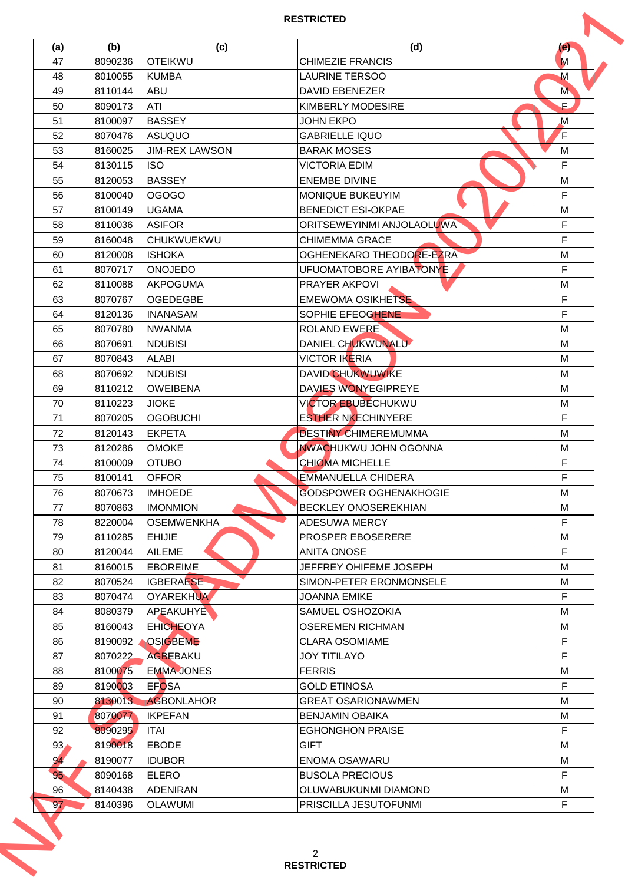| (a)             | (b)     | (c)                   | (d)                           | (e)           |
|-----------------|---------|-----------------------|-------------------------------|---------------|
| 47              | 8090236 | <b>OTEIKWU</b>        | <b>CHIMEZIE FRANCIS</b>       | M             |
| 48              | 8010055 | <b>KUMBA</b>          | <b>LAURINE TERSOO</b>         | M             |
| 49              | 8110144 | <b>ABU</b>            | <b>DAVID EBENEZER</b>         | M             |
| 50              | 8090173 | ATI                   | <b>KIMBERLY MODESIRE</b>      | $\mathsf F$ . |
| 51              | 8100097 | <b>BASSEY</b>         | JOHN EKPO                     | $\mathbf M$   |
| 52              | 8070476 | ASUQUO                | <b>GABRIELLE IQUO</b>         | F             |
| 53              | 8160025 | <b>JIM-REX LAWSON</b> | <b>BARAK MOSES</b>            | M             |
| 54              | 8130115 | <b>ISO</b>            | <b>VICTORIA EDIM</b>          | F             |
| 55              | 8120053 | <b>BASSEY</b>         | <b>ENEMBE DIVINE</b>          | M             |
| 56              | 8100040 | <b>OGOGO</b>          | <b>MONIQUE BUKEUYIM</b>       | F             |
| 57              | 8100149 | <b>UGAMA</b>          | <b>BENEDICT ESI-OKPAE</b>     | M             |
| 58              | 8110036 | <b>ASIFOR</b>         | ORITSEWEYINMI ANJOLAOLUWA     | F             |
| 59              | 8160048 | <b>CHUKWUEKWU</b>     | CHIMEMMA GRACE                | F             |
| 60              | 8120008 | <b>ISHOKA</b>         | OGHENEKARO THEODORE-EZRA      | M             |
| 61              | 8070717 | <b>ONOJEDO</b>        | UFUOMATOBORE AYIBATONYE       | F             |
| 62              | 8110088 | <b>AKPOGUMA</b>       | <b>PRAYER AKPOVI</b>          | M             |
| 63              | 8070767 | <b>OGEDEGBE</b>       | <b>EMEWOMA OSIKHETSE</b>      | F             |
| 64              | 8120136 | <b>INANASAM</b>       | SOPHIE EFEOGHENE              | F             |
| 65              | 8070780 | <b>NWANMA</b>         | <b>ROLAND EWERE</b>           | M             |
| 66              | 8070691 | <b>NDUBISI</b>        | DANIEL CHUKWUNALU             | M             |
| 67              | 8070843 | <b>ALABI</b>          | <b>VICTOR IKERIA</b>          | М             |
| 68              | 8070692 | <b>NDUBISI</b>        | <b>DAVID CHUKWUWIKE</b>       | M             |
| 69              | 8110212 | <b>OWEIBENA</b>       | DAVIES WONYEGIPREYE           | M             |
| 70              | 8110223 | <b>JIOKE</b>          | <b>VICTOR EBUBECHUKWU</b>     | M             |
| 71              | 8070205 | <b>OGOBUCHI</b>       | <b>ESTHER NKECHINYERE</b>     | F             |
| 72              | 8120143 | EKPETA                | <b>DESTINY CHIMEREMUMMA</b>   | M             |
| 73              | 8120286 | <b>OMOKE</b>          | <b>NWACHUKWU JOHN OGONNA</b>  | M             |
| 74              | 8100009 | <b>OTUBO</b>          | <b>CHIOMA MICHELLE</b>        | F             |
| 75              | 8100141 | <b>OFFOR</b>          | <b>EMMANUELLA CHIDERA</b>     | F             |
| 76              | 8070673 | <b>IMHOEDE</b>        | <b>GODSPOWER OGHENAKHOGIE</b> | M             |
| 77              | 8070863 | <b>IMONMION</b>       | <b>BECKLEY ONOSEREKHIAN</b>   | M             |
| 78              | 8220004 | <b>OSEMWENKHA</b>     | <b>ADESUWA MERCY</b>          | F             |
| 79              |         | <b>EHIJIE</b>         | <b>PROSPER EBOSERERE</b>      | M             |
|                 | 8110285 |                       |                               |               |
| 80              | 8120044 | <b>AILEME</b>         | <b>ANITA ONOSE</b>            | F             |
| 81              | 8160015 | <b>EBOREIME</b>       | JEFFREY OHIFEME JOSEPH        | M             |
| 82              | 8070524 | IGBERAESE             | SIMON-PETER ERONMONSELE       | М             |
| 83              | 8070474 | <b>OYAREKHUA</b>      | <b>JOANNA EMIKE</b>           | F             |
| 84              | 8080379 | APEAKUHYE             | SAMUEL OSHOZOKIA              | M             |
| 85              | 8160043 | <b>EHICHEOYA</b>      | <b>OSEREMEN RICHMAN</b>       | M             |
| 86              | 8190092 | <b>OSIGBEME</b>       | <b>CLARA OSOMIAME</b>         | F             |
| 87              | 8070222 | AGBEBAKU              | <b>JOY TITILAYO</b>           | F             |
| 88              | 8100075 | <b>EMMA JONES</b>     | <b>FERRIS</b>                 | M             |
| 89              | 8190003 | <b>EFOSA</b>          | <b>GOLD ETINOSA</b>           | F             |
| 90              | 8130013 | <b>AGBONLAHOR</b>     | <b>GREAT OSARIONAWMEN</b>     | M             |
| 91              | 8070077 | <b>IKPEFAN</b>        | <b>BENJAMIN OBAIKA</b>        | M             |
| 92              | 8090295 | <b>ITAI</b>           | <b>EGHONGHON PRAISE</b>       | F             |
| 93 <sub>1</sub> | 8190018 | <b>EBODE</b>          | <b>GIFT</b>                   | M             |
| 94              | 8190077 | <b>IDUBOR</b>         | <b>ENOMA OSAWARU</b>          | M             |
| 95              | 8090168 | <b>ELERO</b>          | <b>BUSOLA PRECIOUS</b>        | F             |
|                 | 8140438 | <b>ADENIRAN</b>       | OLUWABUKUNMI DIAMOND          | M             |
| 96              |         | <b>OLAWUMI</b>        | PRISCILLA JESUTOFUNMI         | F             |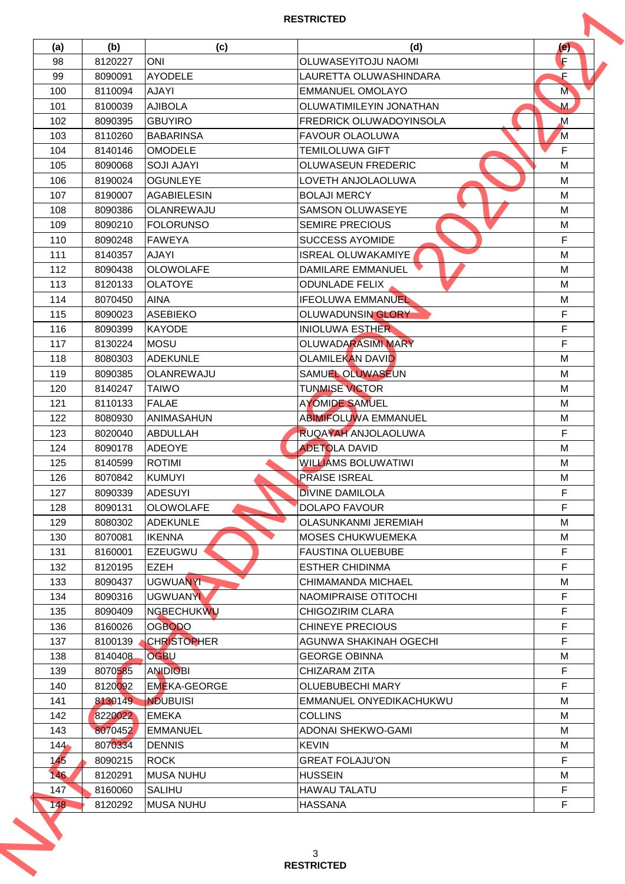| (a) | (b)     | (c)                | (d)                            | (e)         |
|-----|---------|--------------------|--------------------------------|-------------|
| 98  | 8120227 | <b>ONI</b>         | OLUWASEYITOJU NAOMI            | F           |
| 99  | 8090091 | <b>AYODELE</b>     | LAURETTA OLUWASHINDARA         | F           |
| 100 | 8110094 | <b>AJAYI</b>       | <b>EMMANUEL OMOLAYO</b>        | M           |
| 101 | 8100039 | <b>AJIBOLA</b>     | OLUWATIMILEYIN JONATHAN        | M           |
| 102 | 8090395 | <b>GBUYIRO</b>     | <b>FREDRICK OLUWADOYINSOLA</b> | $\mathbf M$ |
| 103 | 8110260 | <b>BABARINSA</b>   | <b>FAVOUR OLAOLUWA</b>         | M           |
| 104 | 8140146 | <b>OMODELE</b>     | <b>TEMILOLUWA GIFT</b>         | F           |
| 105 | 8090068 | <b>SOJI AJAYI</b>  | <b>OLUWASEUN FREDERIC</b>      | M           |
| 106 | 8190024 | <b>OGUNLEYE</b>    | LOVETH ANJOLAOLUWA             | M           |
| 107 | 8190007 | <b>AGABIELESIN</b> | <b>BOLAJI MERCY</b>            | M           |
| 108 | 8090386 | <b>OLANREWAJU</b>  | <b>SAMSON OLUWASEYE</b>        | M           |
| 109 | 8090210 | <b>FOLORUNSO</b>   | <b>SEMIRE PRECIOUS</b>         | M           |
| 110 | 8090248 | <b>FAWEYA</b>      | <b>SUCCESS AYOMIDE</b>         | F           |
| 111 | 8140357 | <b>AJAYI</b>       | ISREAL OLUWAKAMIYE.            | M           |
| 112 | 8090438 | <b>OLOWOLAFE</b>   | <b>DAMILARE EMMANUEL</b>       | M           |
| 113 | 8120133 | <b>OLATOYE</b>     | <b>ODUNLADE FELIX</b>          | M           |
| 114 | 8070450 | <b>AINA</b>        | <b>IFEOLUWA EMMANUEL</b>       | M           |
| 115 | 8090023 | <b>ASEBIEKO</b>    | OLUWADUNSIN GLORY              | F           |
| 116 | 8090399 | <b>KAYODE</b>      | <b>INIOLUWA ESTHER</b>         | F           |
| 117 | 8130224 | MOSU               | <b>OLUWADARASIMI MARY</b>      | F           |
| 118 | 8080303 | ADEKUNLE           | <b>OLAMILEKAN DAVID</b>        | M           |
|     |         |                    | <b>SAMUEL OLUWASEUN</b>        |             |
| 119 | 8090385 | OLANREWAJU         |                                | M           |
| 120 | 8140247 | <b>TAIWO</b>       | <b>TUNMISE VICTOR</b>          | M           |
| 121 | 8110133 | FALAE              | <b>AYOMIDE SAMUEL</b>          | M           |
| 122 | 8080930 | <b>ANIMASAHUN</b>  | <b>ABIMIFOLUWA EMMANUEL</b>    | M           |
| 123 | 8020040 | ABDULLAH           | RUQAYAH ANJOLAOLUWA            | F           |
| 124 | 8090178 | ADEOYE             | <b>ADETOLA DAVID</b>           | M           |
| 125 | 8140599 | <b>ROTIMI</b>      | <b>WILLIAMS BOLUWATIWI</b>     | M           |
| 126 | 8070842 | KUMUYI             | <b>PRAISE ISREAL</b>           | M           |
| 127 | 8090339 | ADESUYI            | <b>DIVINE DAMILOLA</b>         | F           |
| 128 | 8090131 | <b>OLOWOLAFE</b>   | <b>DOLAPO FAVOUR</b>           | F           |
| 129 | 8080302 | <b>ADEKUNLE</b>    | <b>OLASUNKANMI JEREMIAH</b>    | м           |
| 130 | 8070081 | <b>IKENNA</b>      | <b>MOSES CHUKWUEMEKA</b>       | M           |
| 131 | 8160001 | <b>EZEUGWU</b>     | <b>FAUSTINA OLUEBUBE</b>       | F           |
| 132 | 8120195 | <b>EZEH</b>        | <b>ESTHER CHIDINMA</b>         | F           |
| 133 | 8090437 | UGWUANYI           | CHIMAMANDA MICHAEL             | М           |
| 134 | 8090316 | <b>UGWUANYI</b>    | NAOMIPRAISE OTITOCHI           | F           |
| 135 | 8090409 | <b>NGBECHUKWU</b>  | CHIGOZIRIM CLARA               | F           |
| 136 | 8160026 | <b>OGBODO</b>      | <b>CHINEYE PRECIOUS</b>        | F           |
| 137 | 8100139 | <b>CHRISTOPHER</b> | <b>AGUNWA SHAKINAH OGECHI</b>  | F           |
| 138 | 8140408 | <b>OGBU</b>        | <b>GEORGE OBINNA</b>           | M           |
| 139 | 8070585 | <b>ANDIOBI</b>     | <b>CHIZARAM ZITA</b>           | F           |
| 140 | 8120092 | EMEKA-GEORGE       | <b>OLUEBUBECHI MARY</b>        | F           |
| 141 | 8130149 | <b>NDUBUISI</b>    | EMMANUEL ONYEDIKACHUKWU        | M           |
| 142 | 8220022 | <b>EMEKA</b>       | <b>COLLINS</b>                 | M           |
| 143 | 8070452 | EMMANUEL           | <b>ADONAI SHEKWO-GAMI</b>      | M           |
| 144 | 8070334 | <b>DENNIS</b>      | <b>KEVIN</b>                   | М           |
| 145 | 8090215 | <b>ROCK</b>        | <b>GREAT FOLAJU'ON</b>         | F           |
| 146 | 8120291 | <b>MUSA NUHU</b>   | <b>HUSSEIN</b>                 | M           |
| 147 | 8160060 | <b>SALIHU</b>      | <b>HAWAU TALATU</b>            | F           |
|     | 8120292 | <b>MUSA NUHU</b>   | <b>HASSANA</b>                 | F           |
| 148 |         |                    |                                |             |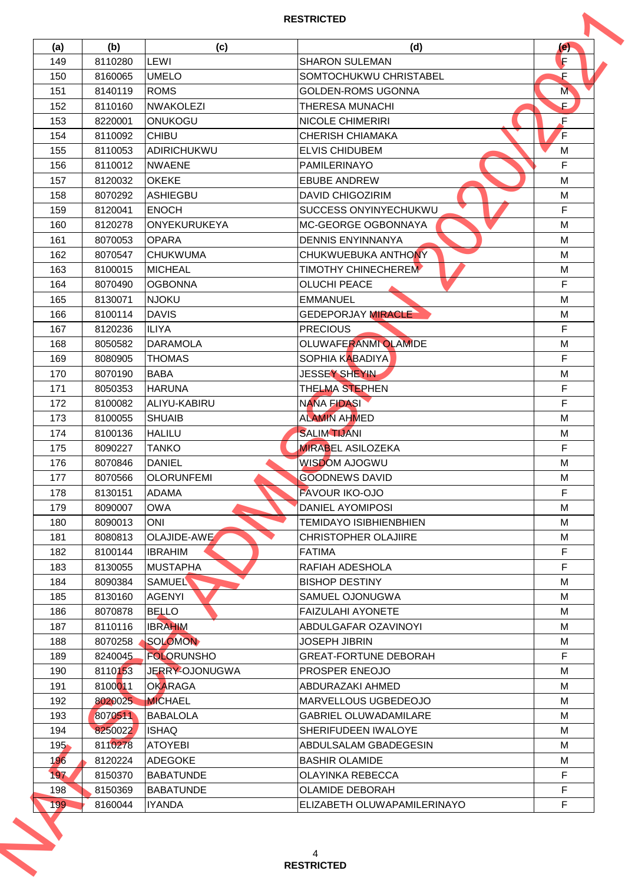| (a)     | (b)     | (c)               | (d)                           | (e) |
|---------|---------|-------------------|-------------------------------|-----|
| 149     | 8110280 | LEWI              | <b>SHARON SULEMAN</b>         | F   |
| 150     | 8160065 | <b>UMELO</b>      | SOMTOCHUKWU CHRISTABEL        | F   |
| 151     | 8140119 | <b>ROMS</b>       | <b>GOLDEN-ROMS UGONNA</b>     | M   |
| 152     | 8110160 | <b>NWAKOLEZI</b>  | <b>THERESA MUNACHI</b>        | Е.  |
| 153     | 8220001 | ONUKOGU           | <b>NICOLE CHIMERIRI</b>       | F   |
| 154     | 8110092 | <b>CHIBU</b>      | <b>CHERISH CHIAMAKA</b>       | F   |
| 155     | 8110053 | ADIRICHUKWU       | <b>ELVIS CHIDUBEM</b>         | M   |
| 156     | 8110012 | <b>NWAENE</b>     | <b>PAMILERINAYO</b>           | F   |
| 157     | 8120032 | <b>OKEKE</b>      | <b>EBUBE ANDREW</b>           | M   |
| 158     | 8070292 | ASHIEGBU          | <b>DAVID CHIGOZIRIM</b>       | M   |
| 159     | 8120041 | <b>ENOCH</b>      | <b>SUCCESS ONYINYECHUKWU</b>  | F   |
| 160     | 8120278 | ONYEKURUKEYA      | <b>MC-GEORGE OGBONNAYA</b>    | M   |
| 161     | 8070053 | <b>OPARA</b>      | <b>DENNIS ENYINNANYA</b>      | M   |
| 162     | 8070547 | <b>CHUKWUMA</b>   | CHUKWUEBUKA ANTHONY           | M   |
| 163     | 8100015 | MICHEAL           | <b>TIMOTHY CHINECHEREM</b>    | M   |
|         |         | <b>OGBONNA</b>    | <b>OLUCHI PEACE</b>           | F   |
| 164     | 8070490 |                   |                               |     |
| 165     | 8130071 | <b>NJOKU</b>      | <b>EMMANUEL</b>               | M   |
| 166     | 8100114 | <b>DAVIS</b>      | <b>GEDEPORJAY MIRACLE</b>     | М   |
| 167     | 8120236 | <b>ILIYA</b>      | <b>PRECIOUS</b>               | F   |
| 168     | 8050582 | <b>DARAMOLA</b>   | <b>OLUWAFERANMI OLAMIDE</b>   | M   |
| 169     | 8080905 | <b>THOMAS</b>     | <b>SOPHIA KABADIYA</b>        | F   |
| 170     | 8070190 | <b>BABA</b>       | JESSEY SHEYIN                 | М   |
| 171     | 8050353 | <b>HARUNA</b>     | <b>THELMA STEPHEN</b>         | F   |
| 172     | 8100082 | ALIYU-KABIRU      | <b>NANA FIDASI</b>            | F   |
| 173     | 8100055 | <b>SHUAIB</b>     | <b>ALAMIN AHMED</b>           | M   |
| 174     | 8100136 | <b>HALILU</b>     | <b>SALIM TIJANI</b>           | M   |
| 175     | 8090227 | <b>TANKO</b>      | <b>MIRABEL ASILOZEKA</b>      | F   |
| 176     | 8070846 | <b>DANIEL</b>     | WISDOM AJOGWU                 | M   |
| 177     | 8070566 | <b>OLORUNFEMI</b> | <b>GOODNEWS DAVID</b>         | M   |
| 178     | 8130151 | ADAMA             | <b>FAVOUR IKO-OJO</b>         | F   |
| 179     | 8090007 | <b>OWA</b>        | DANIEL AYOMIPOSI              | M   |
| 180     | 8090013 | <b>ONI</b>        | <b>TEMIDAYO ISIBHIENBHIEN</b> | М   |
| 181     | 8080813 | OLAJIDE-AWE       | <b>CHRISTOPHER OLAJIIRE</b>   | M   |
| 182     | 8100144 | <b>IBRAHIM</b>    | <b>FATIMA</b>                 | F   |
| 183     | 8130055 | <b>MUSTAPHA</b>   | RAFIAH ADESHOLA               | F   |
| 184     | 8090384 | SAMUEL            | <b>BISHOP DESTINY</b>         | М   |
| 185     | 8130160 | <b>AGENYI</b>     | SAMUEL OJONUGWA               | M   |
|         |         |                   |                               |     |
| 186     | 8070878 | <b>BELLO</b>      | <b>FAIZULAHI AYONETE</b>      | M   |
| 187     | 8110116 | <b>IBRAHIM</b>    | ABDULGAFAR OZAVINOYI          | M   |
| 188     | 8070258 | SOLOMON           | <b>JOSEPH JIBRIN</b>          | M   |
| 189     | 8240045 | <b>FOLORUNSHO</b> | <b>GREAT-FORTUNE DEBORAH</b>  | F   |
| 190     | 8110153 | JERRY-OJONUGWA    | <b>PROSPER ENEOJO</b>         | M   |
| 191     | 8100011 | <b>OKARAGA</b>    | ABDURAZAKI AHMED              | м   |
| 192     | 8020025 | <b>MICHAEL</b>    | MARVELLOUS UGBEDEOJO          | M   |
| 193     | 8070511 | <b>BABALOLA</b>   | <b>GABRIEL OLUWADAMILARE</b>  | M   |
| 194     | 8250022 | <b>ISHAQ</b>      | SHERIFUDEEN IWALOYE           | M   |
| $195 -$ | 8110278 | <b>ATOYEBI</b>    | ABDULSALAM GBADEGESIN         | M   |
| 196     | 8120224 | ADEGOKE           | <b>BASHIR OLAMIDE</b>         | M   |
| 197     | 8150370 | <b>BABATUNDE</b>  | <b>OLAYINKA REBECCA</b>       | F   |
| 198     | 8150369 | <b>BABATUNDE</b>  | <b>OLAMIDE DEBORAH</b>        | F   |
| 199     | 8160044 | <b>IYANDA</b>     | ELIZABETH OLUWAPAMILERINAYO   | F   |
|         |         |                   |                               |     |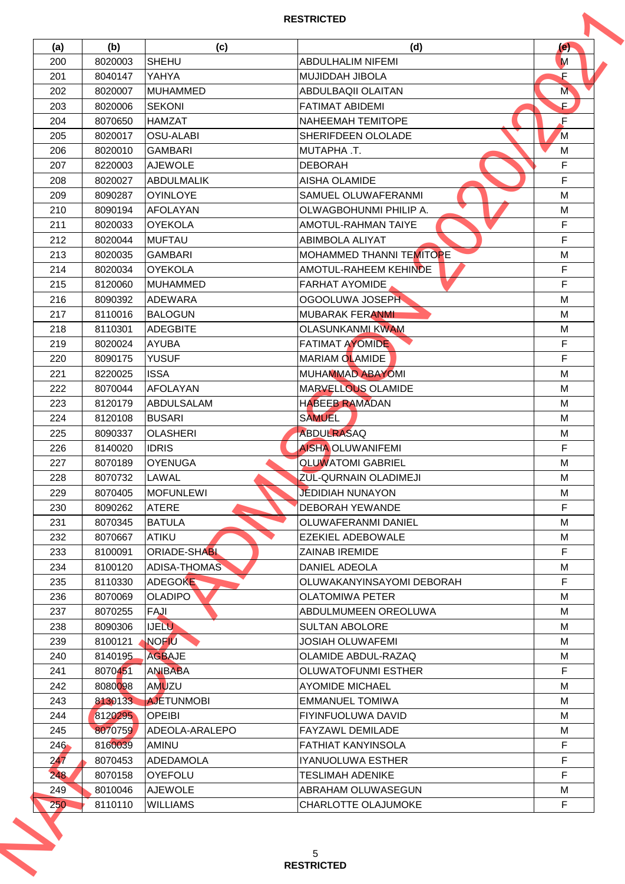| 200<br>201<br>202<br>203<br>204<br>205<br>206<br>207<br>208<br>209<br>210<br>211<br>212<br>213<br>214<br>215 | 8020003<br>8040147<br>8020007<br>8020006<br>8070650<br>8020017<br>8020010<br>8220003<br>8020027<br>8090287<br>8090194<br>8020033<br>8020044 | <b>SHEHU</b><br>YAHYA<br><b>MUHAMMED</b><br><b>SEKONI</b><br><b>HAMZAT</b><br><b>OSU-ALABI</b><br><b>GAMBARI</b><br><b>AJEWOLE</b><br><b>ABDULMALIK</b><br><b>OYINLOYE</b> | <b>ABDULHALIM NIFEMI</b><br><b>MUJIDDAH JIBOLA</b><br><b>ABDULBAQII OLAITAN</b><br><b>FATIMAT ABIDEMI</b><br><b>NAHEEMAH TEMITOPE</b><br><b>SHERIFDEEN OLOLADE</b><br>MUTAPHA .T.<br><b>DEBORAH</b> | M<br>F<br>M<br>Е.<br>F<br>M |
|--------------------------------------------------------------------------------------------------------------|---------------------------------------------------------------------------------------------------------------------------------------------|----------------------------------------------------------------------------------------------------------------------------------------------------------------------------|-----------------------------------------------------------------------------------------------------------------------------------------------------------------------------------------------------|-----------------------------|
|                                                                                                              |                                                                                                                                             |                                                                                                                                                                            |                                                                                                                                                                                                     |                             |
|                                                                                                              |                                                                                                                                             |                                                                                                                                                                            |                                                                                                                                                                                                     |                             |
|                                                                                                              |                                                                                                                                             |                                                                                                                                                                            |                                                                                                                                                                                                     |                             |
|                                                                                                              |                                                                                                                                             |                                                                                                                                                                            |                                                                                                                                                                                                     |                             |
|                                                                                                              |                                                                                                                                             |                                                                                                                                                                            |                                                                                                                                                                                                     |                             |
|                                                                                                              |                                                                                                                                             |                                                                                                                                                                            |                                                                                                                                                                                                     |                             |
|                                                                                                              |                                                                                                                                             |                                                                                                                                                                            |                                                                                                                                                                                                     | M                           |
|                                                                                                              |                                                                                                                                             |                                                                                                                                                                            |                                                                                                                                                                                                     | F                           |
|                                                                                                              |                                                                                                                                             |                                                                                                                                                                            | <b>AISHA OLAMIDE</b>                                                                                                                                                                                | F                           |
|                                                                                                              |                                                                                                                                             |                                                                                                                                                                            | SAMUEL OLUWAFERANMI                                                                                                                                                                                 | M                           |
|                                                                                                              |                                                                                                                                             | <b>AFOLAYAN</b>                                                                                                                                                            | OLWAGBOHUNMI PHILIP A.                                                                                                                                                                              | M                           |
|                                                                                                              |                                                                                                                                             | <b>OYEKOLA</b>                                                                                                                                                             | <b>AMOTUL-RAHMAN TAIYE</b>                                                                                                                                                                          | F                           |
|                                                                                                              |                                                                                                                                             | <b>MUFTAU</b>                                                                                                                                                              | <b>ABIMBOLA ALIYAT</b>                                                                                                                                                                              | F                           |
|                                                                                                              | 8020035                                                                                                                                     | <b>GAMBARI</b>                                                                                                                                                             | <b>MOHAMMED THANNI TEMITOPE</b>                                                                                                                                                                     | M                           |
|                                                                                                              | 8020034                                                                                                                                     | <b>OYEKOLA</b>                                                                                                                                                             | AMOTUL-RAHEEM KEHINDE                                                                                                                                                                               | F                           |
|                                                                                                              |                                                                                                                                             |                                                                                                                                                                            |                                                                                                                                                                                                     | F                           |
|                                                                                                              | 8120060                                                                                                                                     | IMUHAMMED                                                                                                                                                                  | <b>FARHAT AYOMIDE</b>                                                                                                                                                                               |                             |
| 216                                                                                                          | 8090392                                                                                                                                     | ADEWARA                                                                                                                                                                    | OGOOLUWA JOSEPH                                                                                                                                                                                     | M                           |
| 217                                                                                                          | 8110016                                                                                                                                     | <b>BALOGUN</b>                                                                                                                                                             | <b>MUBARAK FERANMI</b>                                                                                                                                                                              | M                           |
| 218                                                                                                          | 8110301                                                                                                                                     | <b>ADEGBITE</b>                                                                                                                                                            | <b>OLASUNKANMI KWAM</b>                                                                                                                                                                             | M                           |
| 219                                                                                                          | 8020024                                                                                                                                     | <b>AYUBA</b>                                                                                                                                                               | <b>FATIMAT AYOMIDE</b>                                                                                                                                                                              | F                           |
| 220                                                                                                          | 8090175                                                                                                                                     | <b>YUSUF</b>                                                                                                                                                               | <b>MARIAM OLAMIDE</b>                                                                                                                                                                               | F                           |
| 221                                                                                                          | 8220025                                                                                                                                     | <b>ISSA</b>                                                                                                                                                                | MUHAMMAD ABAYOMI                                                                                                                                                                                    | M                           |
| 222                                                                                                          | 8070044                                                                                                                                     | <b>AFOLAYAN</b>                                                                                                                                                            | MARVELLOUS OLAMIDE                                                                                                                                                                                  | M                           |
| 223                                                                                                          | 8120179                                                                                                                                     | ABDULSALAM                                                                                                                                                                 | <b>HABEEB RAMADAN</b>                                                                                                                                                                               | M                           |
| 224                                                                                                          | 8120108                                                                                                                                     | <b>BUSARI</b>                                                                                                                                                              | <b>SAMUEL</b>                                                                                                                                                                                       | M                           |
| 225                                                                                                          | 8090337                                                                                                                                     | <b>OLASHERI</b>                                                                                                                                                            | <b>ABDULRASAQ</b>                                                                                                                                                                                   | M                           |
| 226                                                                                                          | 8140020                                                                                                                                     | <b>IDRIS</b>                                                                                                                                                               | <b>AISHA OLUWANIFEMI</b>                                                                                                                                                                            | F                           |
| 227                                                                                                          | 8070189                                                                                                                                     | <b>OYENUGA</b>                                                                                                                                                             | <b>OLUWATOMI GABRIEL</b>                                                                                                                                                                            | M                           |
| 228                                                                                                          | 8070732                                                                                                                                     | LAWAL                                                                                                                                                                      | <b>ZUL-QURNAIN OLADIMEJI</b>                                                                                                                                                                        | M                           |
| 229                                                                                                          | 8070405                                                                                                                                     | <b>MOFUNLEWI</b>                                                                                                                                                           | <b>JEDIDIAH NUNAYON</b>                                                                                                                                                                             | M                           |
| 230                                                                                                          | 8090262                                                                                                                                     | <b>ATERE</b>                                                                                                                                                               | <b>DEBORAH YEWANDE</b>                                                                                                                                                                              | F                           |
| 231                                                                                                          | 8070345                                                                                                                                     | <b>BATULA</b>                                                                                                                                                              | <b>OLUWAFERANMI DANIEL</b>                                                                                                                                                                          | м                           |
| 232                                                                                                          | 8070667                                                                                                                                     | <b>ATIKU</b>                                                                                                                                                               | <b>EZEKIEL ADEBOWALE</b>                                                                                                                                                                            | M                           |
| 233                                                                                                          | 8100091                                                                                                                                     | <b>ORIADE-SHABL</b>                                                                                                                                                        | <b>ZAINAB IREMIDE</b>                                                                                                                                                                               | F                           |
| 234                                                                                                          | 8100120                                                                                                                                     | ADISA-THOMAS                                                                                                                                                               | DANIEL ADEOLA                                                                                                                                                                                       | M                           |
| 235                                                                                                          | 8110330                                                                                                                                     | <b>ADEGOKE</b>                                                                                                                                                             | OLUWAKANYINSAYOMI DEBORAH                                                                                                                                                                           | F                           |
| 236                                                                                                          | 8070069                                                                                                                                     | <b>OLADIPO</b>                                                                                                                                                             | <b>OLATOMIWA PETER</b>                                                                                                                                                                              | M                           |
| 237                                                                                                          | 8070255                                                                                                                                     | FAJI                                                                                                                                                                       | ABDULMUMEEN OREOLUWA                                                                                                                                                                                | M                           |
| 238                                                                                                          | 8090306                                                                                                                                     | <b>IJELU</b>                                                                                                                                                               | <b>SULTAN ABOLORE</b>                                                                                                                                                                               | M                           |
| 239                                                                                                          | 8100121                                                                                                                                     | NOFIU                                                                                                                                                                      | <b>JOSIAH OLUWAFEMI</b>                                                                                                                                                                             | м                           |
| 240                                                                                                          | 8140195                                                                                                                                     | <b>AGBAJE</b>                                                                                                                                                              | OLAMIDE ABDUL-RAZAQ                                                                                                                                                                                 | M                           |
| 241                                                                                                          | 8070451                                                                                                                                     | <b>ANIBABA</b>                                                                                                                                                             | <b>OLUWATOFUNMI ESTHER</b>                                                                                                                                                                          | F                           |
|                                                                                                              |                                                                                                                                             |                                                                                                                                                                            |                                                                                                                                                                                                     |                             |
| 242                                                                                                          | 8080098                                                                                                                                     | AMUZU                                                                                                                                                                      | <b>AYOMIDE MICHAEL</b>                                                                                                                                                                              | м                           |
| 243                                                                                                          | 8130133                                                                                                                                     | <b>AJETUNMOBI</b>                                                                                                                                                          | <b>EMMANUEL TOMIWA</b>                                                                                                                                                                              | M                           |
| 244                                                                                                          | 8120295                                                                                                                                     | <b>OPEIBI</b>                                                                                                                                                              | <b>FIYINFUOLUWA DAVID</b>                                                                                                                                                                           | M                           |
| 245                                                                                                          | 8070759                                                                                                                                     | ADEOLA-ARALEPO                                                                                                                                                             | <b>FAYZAWL DEMILADE</b>                                                                                                                                                                             | M                           |
| $246 -$                                                                                                      | 8160039                                                                                                                                     | AMINU                                                                                                                                                                      | <b>FATHIAT KANYINSOLA</b>                                                                                                                                                                           | F                           |
| 247                                                                                                          | 8070453                                                                                                                                     | ADEDAMOLA                                                                                                                                                                  | IYANUOLUWA ESTHER                                                                                                                                                                                   | F                           |
| 248                                                                                                          | 8070158                                                                                                                                     | OYEFOLU                                                                                                                                                                    | <b>TESLIMAH ADENIKE</b>                                                                                                                                                                             | F                           |
| 249                                                                                                          | 8010046                                                                                                                                     | <b>AJEWOLE</b>                                                                                                                                                             | ABRAHAM OLUWASEGUN                                                                                                                                                                                  | M                           |
| 250                                                                                                          | 8110110                                                                                                                                     | <b>WILLIAMS</b>                                                                                                                                                            | CHARLOTTE OLAJUMOKE                                                                                                                                                                                 | F                           |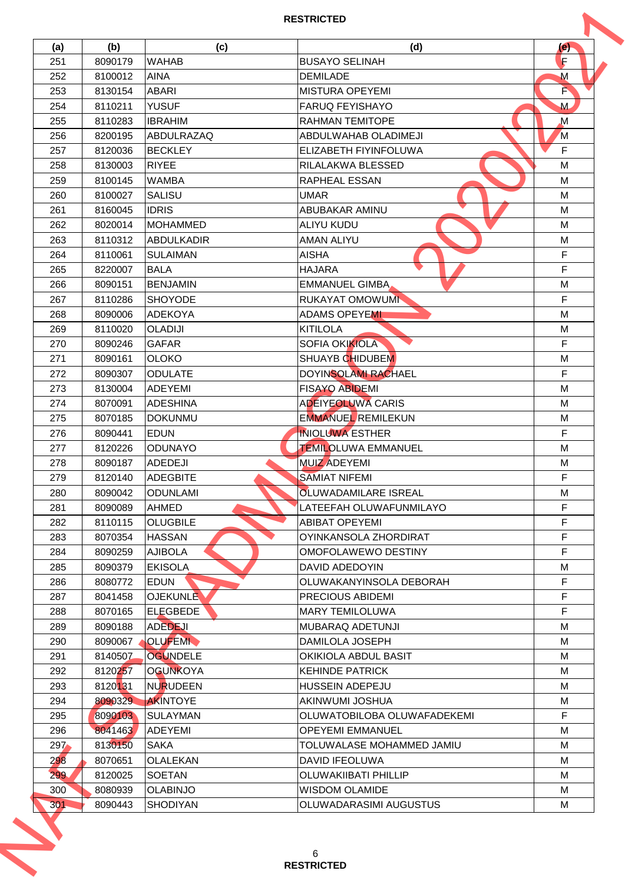| (a) | (b)                | (c)                                | (d)                          | (e)         |
|-----|--------------------|------------------------------------|------------------------------|-------------|
| 251 | 8090179            | <b>WAHAB</b>                       | <b>BUSAYO SELINAH</b>        | F           |
| 252 | 8100012            | <b>AINA</b>                        | <b>DEMILADE</b>              | M           |
| 253 | 8130154            | <b>ABARI</b>                       | MISTURA OPEYEMI              | F           |
| 254 | 8110211            | <b>YUSUF</b>                       | <b>FARUQ FEYISHAYO</b>       | M           |
| 255 | 8110283            | <b>IBRAHIM</b>                     | <b>RAHMAN TEMITOPE</b>       | $\mathbf M$ |
| 256 | 8200195            | ABDULRAZAQ                         | ABDULWAHAB OLADIMEJI         | M           |
| 257 | 8120036            | <b>BECKLEY</b>                     | <b>ELIZABETH FIYINFOLUWA</b> | F           |
| 258 | 8130003            | <b>RIYEE</b>                       | <b>RILALAKWA BLESSED</b>     | M           |
| 259 | 8100145            | <b>WAMBA</b>                       | <b>RAPHEAL ESSAN</b>         | M           |
| 260 | 8100027            | <b>SALISU</b>                      | <b>UMAR</b>                  | M           |
| 261 | 8160045            | <b>IDRIS</b>                       | <b>ABUBAKAR AMINU</b>        | M           |
| 262 | 8020014            | MOHAMMED                           | <b>ALIYU KUDU</b>            | M           |
| 263 | 8110312            | <b>ABDULKADIR</b>                  | <b>AMAN ALIYU</b>            | M           |
| 264 | 8110061            | <b>SULAIMAN</b>                    | <b>AISHA</b>                 | F           |
| 265 | 8220007            | <b>BALA</b>                        | <b>HAJARA</b>                | F           |
| 266 | 8090151            | <b>BENJAMIN</b>                    | <b>EMMANUEL GIMBA</b>        | M           |
| 267 | 8110286            | <b>SHOYODE</b>                     | <b>RUKAYAT OMOWUMI</b>       | F           |
| 268 | 8090006            | ADEKOYA                            | <b>ADAMS OPEYEMI</b>         | M           |
|     |                    |                                    |                              |             |
| 269 | 8110020            | <b>OLADIJI</b>                     | <b>KITILOLA</b>              | M           |
| 270 | 8090246            | <b>GAFAR</b>                       | <b>SOFIA OKIKIOLA</b>        | F           |
| 271 | 8090161            | <b>OLOKO</b>                       | <b>SHUAYB CHIDUBEM</b>       | M           |
| 272 | 8090307            | <b>ODULATE</b>                     | <b>DOYINSOLAMI RACHAEL</b>   | F           |
| 273 | 8130004            | <b>ADEYEMI</b>                     | <b>FISAYO ABIDEMI</b>        | M           |
| 274 | 8070091            | IADESHINA                          | <b>ADEIYEOLUWA CARIS</b>     | M           |
| 275 | 8070185            | <b>DOKUNMU</b>                     | <b>EMMANUEL REMILEKUN</b>    | M           |
| 276 | 8090441            | <b>EDUN</b>                        | <b>INIOLUWA ESTHER</b>       | F           |
| 277 | 8120226            | IODUNAYO                           | <b>TEMILOLUWA EMMANUEL</b>   | M           |
| 278 | 8090187            | <b>ADEDEJI</b>                     | <b>MUIZ ADEYEMI</b>          | M           |
| 279 | 8120140            | ADEGBITE                           | <b>SAMIAT NIFEMI</b>         | F           |
| 280 | 8090042            | <b>ODUNLAMI</b>                    | <b>OLUWADAMILARE ISREAL</b>  | M           |
| 281 | 8090089            | <b>AHMED</b>                       | LATEEFAH OLUWAFUNMILAYO      | F           |
| 282 | 8110115            | <b>OLUGBILE</b>                    | <b>ABIBAT OPEYEMI</b>        | F           |
| 283 | 8070354            | <b>HASSAN</b>                      | OYINKANSOLA ZHORDIRAT        | F           |
| 284 | 8090259            | <b>AJIBOLA</b>                     | OMOFOLAWEWO DESTINY          | F           |
| 285 | 8090379            | <b>EKISOLA</b>                     | DAVID ADEDOYIN               | M           |
| 286 | 8080772            | <b>EDUN</b>                        | OLUWAKANYINSOLA DEBORAH      | F           |
| 287 | 8041458            | <b>OJEKUNLE</b>                    | <b>PRECIOUS ABIDEMI</b>      | F           |
| 288 | 8070165            | ELEGBEDE                           | <b>MARY TEMILOLUWA</b>       | F           |
| 289 | 8090188            | <b>ADEDEJI</b>                     | MUBARAQ ADETUNJI             | M           |
| 290 | 8090067            | <b>OLUFEMI</b>                     | <b>DAMILOLA JOSEPH</b>       | М           |
| 291 | 8140507            | <b>OGUNDELE</b>                    | OKIKIOLA ABDUL BASIT         | M           |
| 292 | 8120257            | <b>OGUNKOYA</b>                    | <b>KEHINDE PATRICK</b>       | M           |
| 293 | 8120131            | NURUDEEN                           | <b>HUSSEIN ADEPEJU</b>       | м           |
| 294 | 8090329            | <b>AKINTOYE</b>                    | AKINWUMI JOSHUA              | M           |
| 295 | 8090103            | <b>SULAYMAN</b>                    | OLUWATOBILOBA OLUWAFADEKEMI  | F           |
| 296 | 8041463            | <b>ADEYEMI</b>                     | <b>OPEYEMI EMMANUEL</b>      | M           |
| 297 | 8130150            | <b>SAKA</b>                        | TOLUWALASE MOHAMMED JAMIU    | M           |
| 298 | 8070651            | OLALEKAN                           | <b>DAVID IFEOLUWA</b>        | M           |
| 299 | 8120025            | <b>SOETAN</b>                      | <b>OLUWAKIIBATI PHILLIP</b>  | M           |
|     |                    |                                    | <b>WISDOM OLAMIDE</b>        | M           |
| 300 | 8080939<br>8090443 | <b>OLABINJO</b><br><b>SHODIYAN</b> | OLUWADARASIMI AUGUSTUS       | M           |
| 301 |                    |                                    |                              |             |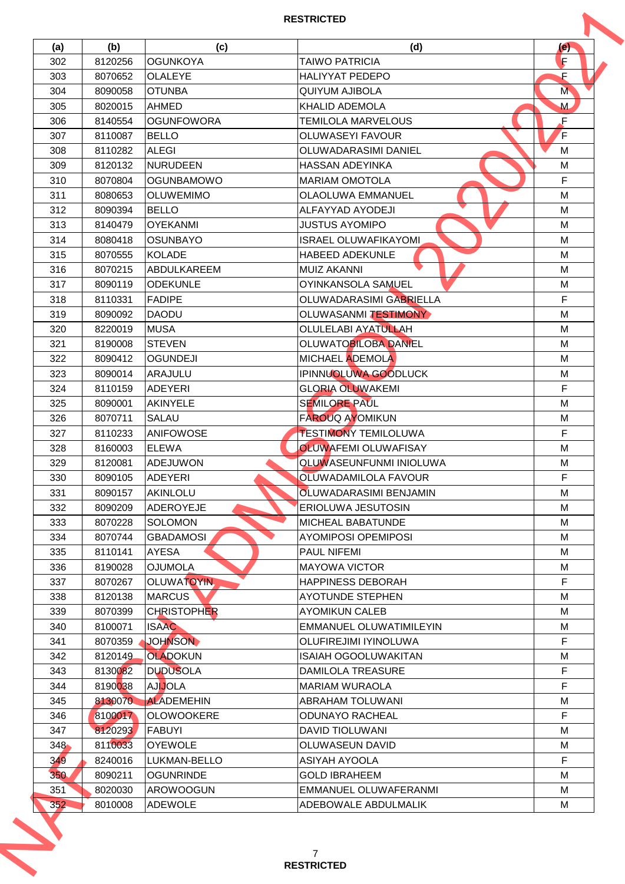| (a)     | (b)     | (c)                | (d)                            | (e) |
|---------|---------|--------------------|--------------------------------|-----|
| 302     | 8120256 | <b>OGUNKOYA</b>    | <b>TAIWO PATRICIA</b>          | F   |
| 303     | 8070652 | OLALEYE            | <b>HALIYYAT PEDEPO</b>         | F   |
| 304     | 8090058 | <b>OTUNBA</b>      | <b>QUIYUM AJIBOLA</b>          | M   |
| 305     | 8020015 | <b>AHMED</b>       | <b>KHALID ADEMOLA</b>          | M   |
| 306     | 8140554 | <b>OGUNFOWORA</b>  | <b>TEMILOLA MARVELOUS</b>      | F   |
| 307     | 8110087 | <b>BELLO</b>       | <b>OLUWASEYI FAVOUR</b>        | F   |
| 308     | 8110282 | <b>ALEGI</b>       | <b>OLUWADARASIMI DANIEL</b>    | м   |
| 309     | 8120132 | <b>NURUDEEN</b>    | <b>HASSAN ADEYINKA</b>         | M   |
| 310     | 8070804 | <b>OGUNBAMOWO</b>  | <b>MARIAM OMOTOLA</b>          | F   |
| 311     | 8080653 | <b>OLUWEMIMO</b>   | <b>OLAOLUWA EMMANUEL</b>       | M   |
| 312     | 8090394 | <b>BELLO</b>       | ALFAYYAD AYODEJI               | M   |
| 313     | 8140479 | <b>OYEKANMI</b>    | <b>JUSTUS AYOMIPO</b>          | M   |
| 314     | 8080418 | <b>OSUNBAYO</b>    | <b>ISRAEL OLUWAFIKAYOMI</b>    | M   |
| 315     | 8070555 | <b>KOLADE</b>      | <b>HABEED ADEKUNLE</b>         | M   |
| 316     | 8070215 | ABDULKAREEM        | <b>MUIZ AKANNI</b>             | M   |
| 317     | 8090119 | <b>ODEKUNLE</b>    | OYINKANSOLA SAMUEL             | M   |
| 318     | 8110331 | <b>FADIPE</b>      | OLUWADARASIMI GABRIELLA        | F   |
| 319     | 8090092 | <b>DAODU</b>       | OLUWASANMI TESTIMONY           | M   |
| 320     | 8220019 | <b>MUSA</b>        | <b>OLULELABI AYATULLAH</b>     | M   |
| 321     | 8190008 | <b>STEVEN</b>      | <b>OLUWATOBILOBA DANIEL</b>    | M   |
| 322     | 8090412 | <b>OGUNDEJI</b>    | MICHAEL ADEMOLA                | М   |
| 323     | 8090014 | <b>ARAJULU</b>     | IPINNUOLUWA GOODLUCK           | M   |
| 324     | 8110159 | ADEYERI            | <b>GLORIA OLUWAKEMI</b>        | F   |
| 325     | 8090001 | <b>AKINYELE</b>    | <b>SEMILORE PAUL</b>           | M   |
| 326     | 8070711 | SALAU              | <b>FAROUQ AYOMIKUN</b>         | M   |
| 327     | 8110233 | <b>ANIFOWOSE</b>   | <b>TESTIMONY TEMILOLUWA</b>    | F   |
| 328     | 8160003 | IELEWA             | <b>OLUWAFEMI OLUWAFISAY</b>    | M   |
| 329     | 8120081 | <b>ADEJUWON</b>    | <b>OLUWASEUNFUNMI INIOLUWA</b> | M   |
| 330     | 8090105 | ADEYERI            | <b>OLUWADAMILOLA FAVOUR</b>    | F   |
| 331     | 8090157 | AKINLOLU           | <b>OLUWADARASIMI BENJAMIN</b>  | M   |
|         |         | <b>ADEROYEJE</b>   | <b>ERIOLUWA JESUTOSIN</b>      | M   |
| 332     | 8090209 |                    |                                | м   |
| 333     | 8070228 | SOLOMON            | <b>MICHEAL BABATUNDE</b>       |     |
| 334     | 8070744 | <b>GBADAMOSI</b>   | <b>AYOMIPOSI OPEMIPOSI</b>     | M   |
| 335     | 8110141 | <b>AYESA</b>       | <b>PAUL NIFEMI</b>             | М   |
| 336     | 8190028 | <b>OJUMOLA</b>     | <b>MAYOWA VICTOR</b>           | M   |
| 337     | 8070267 | <b>OLUWATOYIN</b>  | <b>HAPPINESS DEBORAH</b>       | F.  |
| 338     | 8120138 | <b>MARCUS</b>      | <b>AYOTUNDE STEPHEN</b>        | M   |
| 339     | 8070399 | <b>CHRISTOPHER</b> | <b>AYOMIKUN CALEB</b>          | M   |
| 340     | 8100071 | <b>ISAAC</b>       | EMMANUEL OLUWATIMILEYIN        | M   |
| 341     | 8070359 | <b>JOHNSON</b>     | <b>OLUFIREJIMI IYINOLUWA</b>   | F   |
| 342     | 8120149 | <b>OLADOKUN</b>    | ISAIAH OGOOLUWAKITAN           | M   |
| 343     | 8130082 | <b>DUDUSOLA</b>    | <b>DAMILOLA TREASURE</b>       | F   |
| 344     | 8190038 | <b>AJIJOLA</b>     | <b>MARIAM WURAOLA</b>          | F   |
| 345     | 8130070 | <b>ALADEMEHIN</b>  | <b>ABRAHAM TOLUWANI</b>        | M   |
| 346     | 8100017 | <b>OLOWOOKERE</b>  | <b>ODUNAYO RACHEAL</b>         | F   |
| 347     | 8120293 | FABUYI             | <b>DAVID TIOLUWANI</b>         | M   |
| $348 -$ | 8110033 | <b>OYEWOLE</b>     | <b>OLUWASEUN DAVID</b>         | М   |
| 349     | 8240016 | LUKMAN-BELLO       | ASIYAH AYOOLA                  | F   |
| 350     | 8090211 | <b>OGUNRINDE</b>   | <b>GOLD IBRAHEEM</b>           | M   |
|         | 8020030 | <b>AROWOOGUN</b>   | EMMANUEL OLUWAFERANMI          | M   |
| 351     | 8010008 | <b>ADEWOLE</b>     | ADEBOWALE ABDULMALIK           | M   |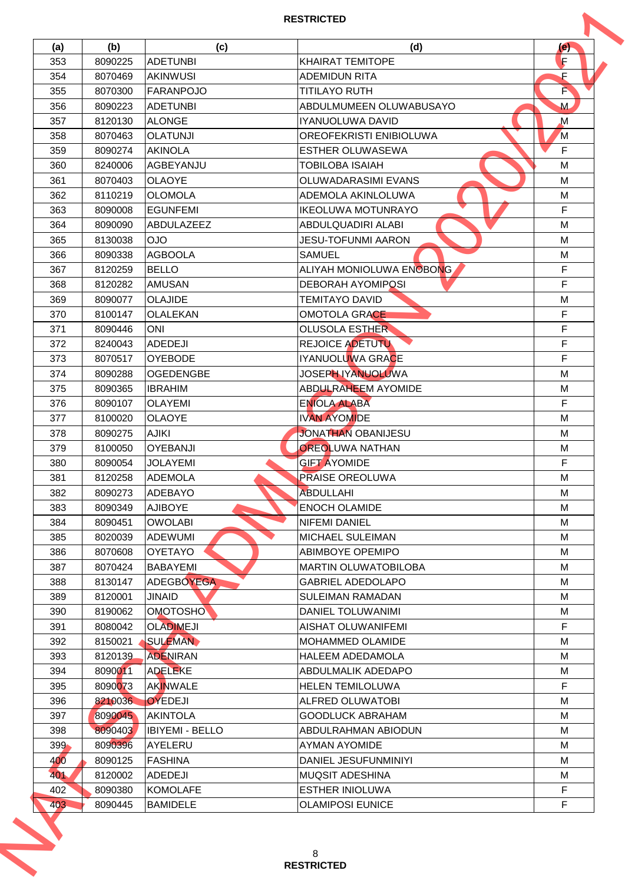| 353<br>354 | 8090225 |                        |                                | (e)         |
|------------|---------|------------------------|--------------------------------|-------------|
|            |         | ADETUNBI               | <b>KHAIRAT TEMITOPE</b>        | F           |
|            | 8070469 | <b>AKINWUSI</b>        | <b>ADEMIDUN RITA</b>           | F           |
| 355        | 8070300 | <b>FARANPOJO</b>       | <b>TITILAYO RUTH</b>           | F           |
| 356        | 8090223 | ADETUNBI               | ABDULMUMEEN OLUWABUSAYO        | M           |
| 357        | 8120130 | <b>ALONGE</b>          | IYANUOLUWA DAVID               | $\mathbf M$ |
| 358        | 8070463 | <b>OLATUNJI</b>        | <b>OREOFEKRISTI ENIBIOLUWA</b> | M           |
| 359        | 8090274 | <b>AKINOLA</b>         | <b>ESTHER OLUWASEWA</b>        | F           |
| 360        | 8240006 | AGBEYANJU              | <b>TOBILOBA ISAIAH</b>         | M           |
| 361        | 8070403 | <b>OLAOYE</b>          | <b>OLUWADARASIMI EVANS</b>     | M           |
| 362        | 8110219 | <b>OLOMOLA</b>         | ADEMOLA AKINLOLUWA             | M           |
| 363        | 8090008 | <b>EGUNFEMI</b>        | <b>IKEOLUWA MOTUNRAYO</b>      | F           |
| 364        | 8090090 | <b>ABDULAZEEZ</b>      | ABDULQUADIRI ALABI             | M           |
| 365        | 8130038 | <b>OJO</b>             | <b>JESU-TOFUNMI AARON</b>      | M           |
| 366        | 8090338 | <b>AGBOOLA</b>         | <b>SAMUEL</b>                  | M           |
| 367        | 8120259 | <b>BELLO</b>           | ALIYAH MONIOLUWA ENOBONG       | F           |
|            |         |                        |                                |             |
| 368        | 8120282 | <b>AMUSAN</b>          | <b>DEBORAH AYOMIPOSI</b>       | F           |
| 369        | 8090077 | <b>OLAJIDE</b>         | <b>TEMITAYO DAVID</b>          | M           |
| 370        | 8100147 | OLALEKAN               | <b>OMOTOLA GRACE</b>           | F           |
| 371        | 8090446 | ONI                    | <b>OLUSOLA ESTHER</b>          | F           |
| 372        | 8240043 | <b>ADEDEJI</b>         | <b>REJOICE ADETUTU</b>         | F           |
| 373        | 8070517 | <b>OYEBODE</b>         | IYANUOLUWA GRACE               | F           |
| 374        | 8090288 | <b>OGEDENGBE</b>       | JOSEPH IYANUOLUWA              | M           |
| 375        | 8090365 | <b>IBRAHIM</b>         | <b>ABDULRAHEEM AYOMIDE</b>     | M           |
| 376        | 8090107 | <b>OLAYEMI</b>         | <b>ENIOLA ALABA</b>            | F           |
| 377        | 8100020 | <b>OLAOYE</b>          | <b>IVAN AYOMIDE</b>            | M           |
| 378        | 8090275 | <b>AJIKI</b>           | <b>JONATHAN OBANIJESU</b>      | M           |
| 379        | 8100050 | <b>OYEBANJI</b>        | <b>OREOLUWA NATHAN</b>         | M           |
| 380        | 8090054 | <b>JOLAYEMI</b>        | <b>GIFT AYOMIDE</b>            | F           |
| 381        | 8120258 | ADEMOLA                | <b>PRAISE OREOLUWA</b>         | M           |
| 382        | 8090273 | <b>ADEBAYO</b>         | <b>ABDULLAHI</b>               | M           |
| 383        | 8090349 | <b>AJIBOYE</b>         | <b>ENOCH OLAMIDE</b>           | M           |
| 384        | 8090451 | <b>OWOLABI</b>         | <b>NIFEMI DANIEL</b>           | м           |
| 385        | 8020039 | <b>ADEWUMI</b>         | <b>MICHAEL SULEIMAN</b>        | M           |
| 386        | 8070608 | <b>OYETAYO</b>         | <b>ABIMBOYE OPEMIPO</b>        | М           |
| 387        | 8070424 | IBABAYEMI              | <b>MARTIN OLUWATOBILOBA</b>    | M           |
| 388        | 8130147 | <b>ADEGBOYEGA</b>      | <b>GABRIEL ADEDOLAPO</b>       | M           |
| 389        | 8120001 | <b>JINAID</b>          | <b>SULEIMAN RAMADAN</b>        | M           |
| 390        | 8190062 | <b>OMOTOSHO</b>        | DANIEL TOLUWANIMI              | M           |
| 391        | 8080042 | <b>OLADIMEJI</b>       | AISHAT OLUWANIFEMI             | F           |
| 392        | 8150021 | SULEMAN                | <b>MOHAMMED OLAMIDE</b>        | м           |
| 393        | 8120139 | <b>ADENIRAN</b>        | <b>HALEEM ADEDAMOLA</b>        | M           |
| 394        | 8090011 | <b>ADELEKE</b>         | <b>ABDULMALIK ADEDAPO</b>      | M           |
|            |         |                        |                                |             |
| 395        | 8090073 | <b>AKINWALE</b>        | <b>HELEN TEMILOLUWA</b>        | F           |
| 396        | 8210036 | <b>OYEDEJI</b>         | <b>ALFRED OLUWATOBI</b>        | M           |
| 397        | 8090045 | <b>AKINTOLA</b>        | <b>GOODLUCK ABRAHAM</b>        | M           |
| 398        | 8090403 | <b>IBIYEMI - BELLO</b> | <b>ABDULRAHMAN ABIODUN</b>     | M           |
| $399 -$    | 8090396 | lAYELERU               | <b>AYMAN AYOMIDE</b>           | M           |
| 400        | 8090125 | <b>FASHINA</b>         | DANIEL JESUFUNMINIYI           | M           |
| 401        | 8120002 | <b>ADEDEJI</b>         | <b>IMUQSIT ADESHINA</b>        | M           |
| 402        | 8090380 | <b>KOMOLAFE</b>        | <b>ESTHER INIOLUWA</b>         | F           |
|            | 8090445 | <b>BAMIDELE</b>        | <b>OLAMIPOSI EUNICE</b>        | F           |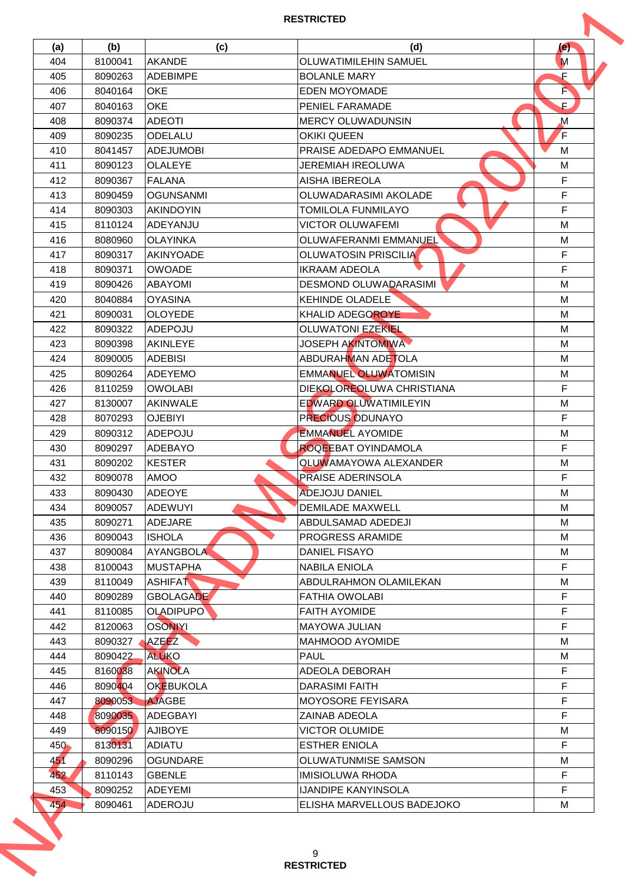| 404<br>405<br>406<br>407<br>408<br>409<br>410<br>411<br>412<br>413<br>414<br>415<br>416<br>417<br>418<br>419<br>420<br>421<br>422<br>423 | 8100041<br>8090263<br>8040164<br>8040163<br>8090374<br>8090235<br>8041457<br>8090123<br>8090367<br>8090459<br>8090303<br>8110124<br>8080960<br>8090317<br>8090371 | <b>AKANDE</b><br><b>ADEBIMPE</b><br><b>OKE</b><br><b>OKE</b><br><b>ADEOTI</b><br>ODELALU<br><b>ADEJUMOBI</b><br><b>OLALEYE</b><br><b>FALANA</b><br><b>OGUNSANMI</b><br><b>AKINDOYIN</b><br>ADEYANJU<br><b>OLAYINKA</b> | <b>OLUWATIMILEHIN SAMUEL</b><br><b>BOLANLE MARY</b><br>EDEN MOYOMADE<br><b>PENIEL FARAMADE</b><br><b>MERCY OLUWADUNSIN</b><br><b>OKIKI QUEEN</b><br>PRAISE ADEDAPO EMMANUEL<br><b>JEREMIAH IREOLUWA</b><br><b>AISHA IBEREOLA</b><br>OLUWADARASIMI AKOLADE<br><b>TOMILOLA FUNMILAYO</b> | M<br>F<br>P<br>$\mathsf{F}$ .<br>M<br>F<br>м<br>M<br>F |
|------------------------------------------------------------------------------------------------------------------------------------------|-------------------------------------------------------------------------------------------------------------------------------------------------------------------|------------------------------------------------------------------------------------------------------------------------------------------------------------------------------------------------------------------------|----------------------------------------------------------------------------------------------------------------------------------------------------------------------------------------------------------------------------------------------------------------------------------------|--------------------------------------------------------|
|                                                                                                                                          |                                                                                                                                                                   |                                                                                                                                                                                                                        |                                                                                                                                                                                                                                                                                        |                                                        |
|                                                                                                                                          |                                                                                                                                                                   |                                                                                                                                                                                                                        |                                                                                                                                                                                                                                                                                        |                                                        |
|                                                                                                                                          |                                                                                                                                                                   |                                                                                                                                                                                                                        |                                                                                                                                                                                                                                                                                        |                                                        |
|                                                                                                                                          |                                                                                                                                                                   |                                                                                                                                                                                                                        |                                                                                                                                                                                                                                                                                        |                                                        |
|                                                                                                                                          |                                                                                                                                                                   |                                                                                                                                                                                                                        |                                                                                                                                                                                                                                                                                        |                                                        |
|                                                                                                                                          |                                                                                                                                                                   |                                                                                                                                                                                                                        |                                                                                                                                                                                                                                                                                        |                                                        |
|                                                                                                                                          |                                                                                                                                                                   |                                                                                                                                                                                                                        |                                                                                                                                                                                                                                                                                        |                                                        |
|                                                                                                                                          |                                                                                                                                                                   |                                                                                                                                                                                                                        |                                                                                                                                                                                                                                                                                        |                                                        |
|                                                                                                                                          |                                                                                                                                                                   |                                                                                                                                                                                                                        |                                                                                                                                                                                                                                                                                        |                                                        |
|                                                                                                                                          |                                                                                                                                                                   |                                                                                                                                                                                                                        |                                                                                                                                                                                                                                                                                        | F                                                      |
|                                                                                                                                          |                                                                                                                                                                   |                                                                                                                                                                                                                        |                                                                                                                                                                                                                                                                                        | F                                                      |
|                                                                                                                                          |                                                                                                                                                                   |                                                                                                                                                                                                                        | <b>VICTOR OLUWAFEMI</b>                                                                                                                                                                                                                                                                | M                                                      |
|                                                                                                                                          |                                                                                                                                                                   |                                                                                                                                                                                                                        | OLUWAFERANMI EMMANUEL                                                                                                                                                                                                                                                                  | M                                                      |
|                                                                                                                                          |                                                                                                                                                                   | <b>AKINYOADE</b>                                                                                                                                                                                                       | <b>OLUWATOSIN PRISCILIA</b>                                                                                                                                                                                                                                                            | F                                                      |
|                                                                                                                                          |                                                                                                                                                                   | <b>OWOADE</b>                                                                                                                                                                                                          | <b>IKRAAM ADEOLA</b>                                                                                                                                                                                                                                                                   | F                                                      |
|                                                                                                                                          |                                                                                                                                                                   |                                                                                                                                                                                                                        |                                                                                                                                                                                                                                                                                        |                                                        |
|                                                                                                                                          | 8090426                                                                                                                                                           | <b>ABAYOMI</b>                                                                                                                                                                                                         | <b>DESMOND OLUWADARASIMI</b>                                                                                                                                                                                                                                                           | M                                                      |
|                                                                                                                                          | 8040884                                                                                                                                                           | <b>OYASINA</b>                                                                                                                                                                                                         | <b>KEHINDE OLADELE</b>                                                                                                                                                                                                                                                                 | M                                                      |
|                                                                                                                                          | 8090031                                                                                                                                                           | <b>OLOYEDE</b>                                                                                                                                                                                                         | KHALID ADEGOROYE                                                                                                                                                                                                                                                                       | M                                                      |
|                                                                                                                                          | 8090322                                                                                                                                                           | ADEPOJU                                                                                                                                                                                                                | <b>OLUWATONI EZEKIEL</b>                                                                                                                                                                                                                                                               | M                                                      |
|                                                                                                                                          | 8090398                                                                                                                                                           | AKINLEYE                                                                                                                                                                                                               | <b>JOSEPH AKINTOMIWA</b>                                                                                                                                                                                                                                                               | M                                                      |
| 424                                                                                                                                      | 8090005                                                                                                                                                           | <b>ADEBISI</b>                                                                                                                                                                                                         | ABDURAHMAN ADETOLA                                                                                                                                                                                                                                                                     | M                                                      |
| 425                                                                                                                                      | 8090264                                                                                                                                                           | <b>ADEYEMO</b>                                                                                                                                                                                                         | <b>EMMANUEL OLUWATOMISIN</b>                                                                                                                                                                                                                                                           | М                                                      |
| 426                                                                                                                                      | 8110259                                                                                                                                                           | <b>OWOLABI</b>                                                                                                                                                                                                         | DIEKOLOREOLUWA CHRISTIANA                                                                                                                                                                                                                                                              | F                                                      |
| 427                                                                                                                                      | 8130007                                                                                                                                                           | <b>AKINWALE</b>                                                                                                                                                                                                        | <b>EDWARD OLUWATIMILEYIN</b>                                                                                                                                                                                                                                                           | M                                                      |
| 428                                                                                                                                      | 8070293                                                                                                                                                           | <b>OJEBIYI</b>                                                                                                                                                                                                         | <b>PRECIOUS ODUNAYO</b>                                                                                                                                                                                                                                                                | F                                                      |
| 429                                                                                                                                      | 8090312                                                                                                                                                           | ADEPOJU                                                                                                                                                                                                                | <b>EMMANUEL AYOMIDE</b>                                                                                                                                                                                                                                                                | M                                                      |
| 430                                                                                                                                      | 8090297                                                                                                                                                           | <b>ADEBAYO</b>                                                                                                                                                                                                         | <b>ROQEEBAT OYINDAMOLA</b>                                                                                                                                                                                                                                                             | F                                                      |
| 431                                                                                                                                      | 8090202                                                                                                                                                           | <b>KESTER</b>                                                                                                                                                                                                          | <b>OLUWAMAYOWA ALEXANDER</b>                                                                                                                                                                                                                                                           | M                                                      |
| 432                                                                                                                                      | 8090078                                                                                                                                                           | <b>AMOO</b>                                                                                                                                                                                                            | <b>PRAISE ADERINSOLA</b>                                                                                                                                                                                                                                                               | F                                                      |
| 433                                                                                                                                      | 8090430                                                                                                                                                           | <b>ADEOYE</b>                                                                                                                                                                                                          | ADEJOJU DANIEL                                                                                                                                                                                                                                                                         | M                                                      |
| 434                                                                                                                                      | 8090057                                                                                                                                                           | <b>ADEWUYI</b>                                                                                                                                                                                                         | <b>DEMILADE MAXWELL</b>                                                                                                                                                                                                                                                                | M                                                      |
| 435                                                                                                                                      | 8090271                                                                                                                                                           | ADEJARE                                                                                                                                                                                                                | ABDULSAMAD ADEDEJI                                                                                                                                                                                                                                                                     | м                                                      |
| 436                                                                                                                                      | 8090043                                                                                                                                                           | <b>ISHOLA</b>                                                                                                                                                                                                          | <b>PROGRESS ARAMIDE</b>                                                                                                                                                                                                                                                                | M                                                      |
| 437                                                                                                                                      | 8090084                                                                                                                                                           | <b>AYANGBOLA</b>                                                                                                                                                                                                       | <b>DANIEL FISAYO</b>                                                                                                                                                                                                                                                                   | М                                                      |
| 438                                                                                                                                      | 8100043                                                                                                                                                           | <b>MUSTAPHA</b>                                                                                                                                                                                                        | NABILA ENIOLA                                                                                                                                                                                                                                                                          | F                                                      |
| 439                                                                                                                                      | 8110049                                                                                                                                                           | <b>ASHIFAT</b>                                                                                                                                                                                                         | <b>ABDULRAHMON OLAMILEKAN</b>                                                                                                                                                                                                                                                          | М                                                      |
| 440                                                                                                                                      | 8090289                                                                                                                                                           | <b>GBOLAGADE</b>                                                                                                                                                                                                       | <b>FATHIA OWOLABI</b>                                                                                                                                                                                                                                                                  | F                                                      |
| 441                                                                                                                                      | 8110085                                                                                                                                                           | <b>OLADIPUPO</b>                                                                                                                                                                                                       | <b>FAITH AYOMIDE</b>                                                                                                                                                                                                                                                                   | F                                                      |
| 442                                                                                                                                      | 8120063                                                                                                                                                           | <b>OSONIYI</b>                                                                                                                                                                                                         | <b>MAYOWA JULIAN</b>                                                                                                                                                                                                                                                                   | F                                                      |
| 443                                                                                                                                      | 8090327                                                                                                                                                           | <b>AZEEZ</b>                                                                                                                                                                                                           | <b>MAHMOOD AYOMIDE</b>                                                                                                                                                                                                                                                                 | м                                                      |
| 444                                                                                                                                      | 8090422                                                                                                                                                           | <b>ALUKO</b>                                                                                                                                                                                                           | <b>PAUL</b>                                                                                                                                                                                                                                                                            | M                                                      |
| 445                                                                                                                                      | 8160038                                                                                                                                                           | <b>AKINOLA</b>                                                                                                                                                                                                         | <b>ADEOLA DEBORAH</b>                                                                                                                                                                                                                                                                  | F                                                      |
|                                                                                                                                          |                                                                                                                                                                   |                                                                                                                                                                                                                        |                                                                                                                                                                                                                                                                                        |                                                        |
| 446                                                                                                                                      | 8090404                                                                                                                                                           | OKEBUKOLA                                                                                                                                                                                                              | DARASIMI FAITH                                                                                                                                                                                                                                                                         | F                                                      |
| 447                                                                                                                                      | 8090053                                                                                                                                                           | <b>AJAGBE</b>                                                                                                                                                                                                          | <b>MOYOSORE FEYISARA</b>                                                                                                                                                                                                                                                               | F                                                      |
| 448                                                                                                                                      | 8090035                                                                                                                                                           | <b>ADEGBAYI</b>                                                                                                                                                                                                        | <b>ZAINAB ADEOLA</b>                                                                                                                                                                                                                                                                   | F                                                      |
| 449                                                                                                                                      | 8090150                                                                                                                                                           | <b>AJIBOYE</b>                                                                                                                                                                                                         | <b>VICTOR OLUMIDE</b>                                                                                                                                                                                                                                                                  | M                                                      |
| 450                                                                                                                                      | 8130131                                                                                                                                                           | <b>ADIATU</b>                                                                                                                                                                                                          | <b>IESTHER ENIOLA</b>                                                                                                                                                                                                                                                                  | F                                                      |
| 451                                                                                                                                      | 8090296                                                                                                                                                           | <b>OGUNDARE</b>                                                                                                                                                                                                        | <b>OLUWATUNMISE SAMSON</b>                                                                                                                                                                                                                                                             | M                                                      |
| 452                                                                                                                                      | 8110143                                                                                                                                                           | <b>GBENLE</b>                                                                                                                                                                                                          | <b>IMISIOLUWA RHODA</b>                                                                                                                                                                                                                                                                | F                                                      |
| 453                                                                                                                                      | 8090252                                                                                                                                                           | <b>ADEYEMI</b>                                                                                                                                                                                                         | <b>IJANDIPE KANYINSOLA</b>                                                                                                                                                                                                                                                             | F                                                      |
| 454                                                                                                                                      | 8090461                                                                                                                                                           | ADEROJU                                                                                                                                                                                                                | ELISHA MARVELLOUS BADEJOKO                                                                                                                                                                                                                                                             | М                                                      |